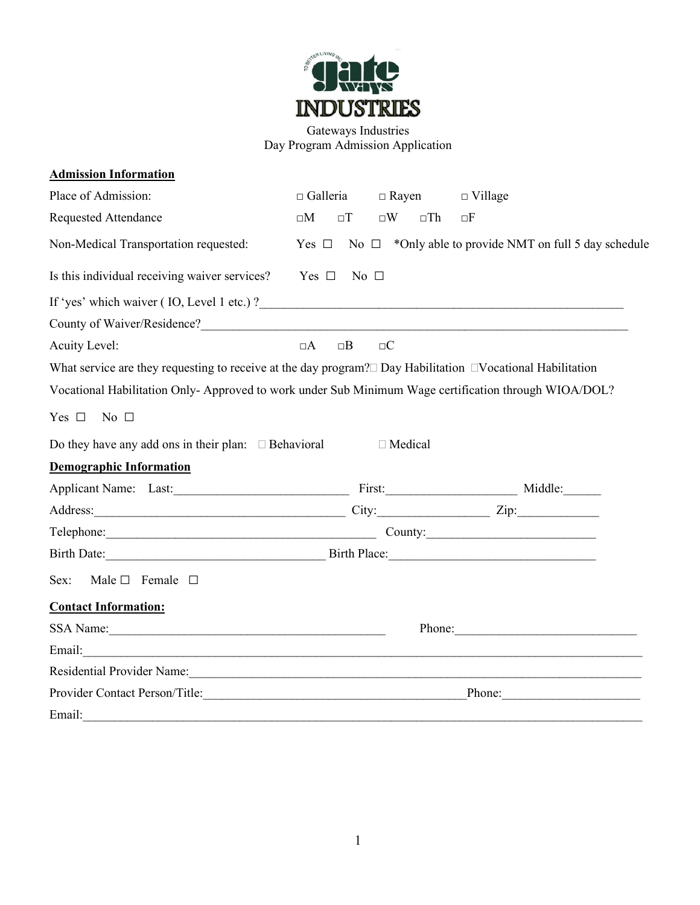

Gateways Industries Day Program Admission Application

| <b>Admission Information</b>                                                                                                                                                                                                   |                                                                          |                                                            |  |
|--------------------------------------------------------------------------------------------------------------------------------------------------------------------------------------------------------------------------------|--------------------------------------------------------------------------|------------------------------------------------------------|--|
| Place of Admission:                                                                                                                                                                                                            | $\Box$ Galleria<br>$\Box$ Rayen                                          | $\Box$ Village                                             |  |
| <b>Requested Attendance</b>                                                                                                                                                                                                    | $\square W$<br>$\square M$<br>$\Box$                                     | $\square$ Th<br>oΕ                                         |  |
| Non-Medical Transportation requested:                                                                                                                                                                                          | Yes $\Box$                                                               | No $\Box$ *Only able to provide NMT on full 5 day schedule |  |
| Is this individual receiving waiver services?                                                                                                                                                                                  | $Yes \Box No \Box$                                                       |                                                            |  |
|                                                                                                                                                                                                                                |                                                                          |                                                            |  |
|                                                                                                                                                                                                                                |                                                                          |                                                            |  |
| Acuity Level:                                                                                                                                                                                                                  | $\Box$ C<br>$\Box A$<br>$\Box B$                                         |                                                            |  |
| What service are they requesting to receive at the day program? $\Box$ Day Habilitation $\Box$ Vocational Habilitation                                                                                                         |                                                                          |                                                            |  |
| Vocational Habilitation Only- Approved to work under Sub Minimum Wage certification through WIOA/DOL?                                                                                                                          |                                                                          |                                                            |  |
| Yes $\square$<br>No $\Box$                                                                                                                                                                                                     |                                                                          |                                                            |  |
| Do they have any add ons in their plan: $\Box$ Behavioral                                                                                                                                                                      | □ Medical                                                                |                                                            |  |
| <b>Demographic Information</b>                                                                                                                                                                                                 |                                                                          |                                                            |  |
| Applicant Name: Last: Last: First: First: Middle:                                                                                                                                                                              |                                                                          |                                                            |  |
|                                                                                                                                                                                                                                |                                                                          |                                                            |  |
|                                                                                                                                                                                                                                | $\text{Telephone:}\n \begin{array}{c}\n \text{Telephone:}\n \end{array}$ |                                                            |  |
|                                                                                                                                                                                                                                |                                                                          |                                                            |  |
| Sex:<br>Male $\square$ Female $\square$                                                                                                                                                                                        |                                                                          |                                                            |  |
| <b>Contact Information:</b>                                                                                                                                                                                                    |                                                                          |                                                            |  |
| SSA Name:                                                                                                                                                                                                                      |                                                                          | Phone:                                                     |  |
| Email: <u>International Communication</u>                                                                                                                                                                                      |                                                                          |                                                            |  |
| Residential Provider Name: 1988 Manual Contract of the Manual Contract of the Manual Contract of the Manual Contract of the Manual Contract of the Manual Contract of the Manual Contract of the Manual Contract of the Manual |                                                                          |                                                            |  |
| Provider Contact Person/Title: Provider Contact Person/Title:                                                                                                                                                                  |                                                                          |                                                            |  |
| Email:                                                                                                                                                                                                                         |                                                                          |                                                            |  |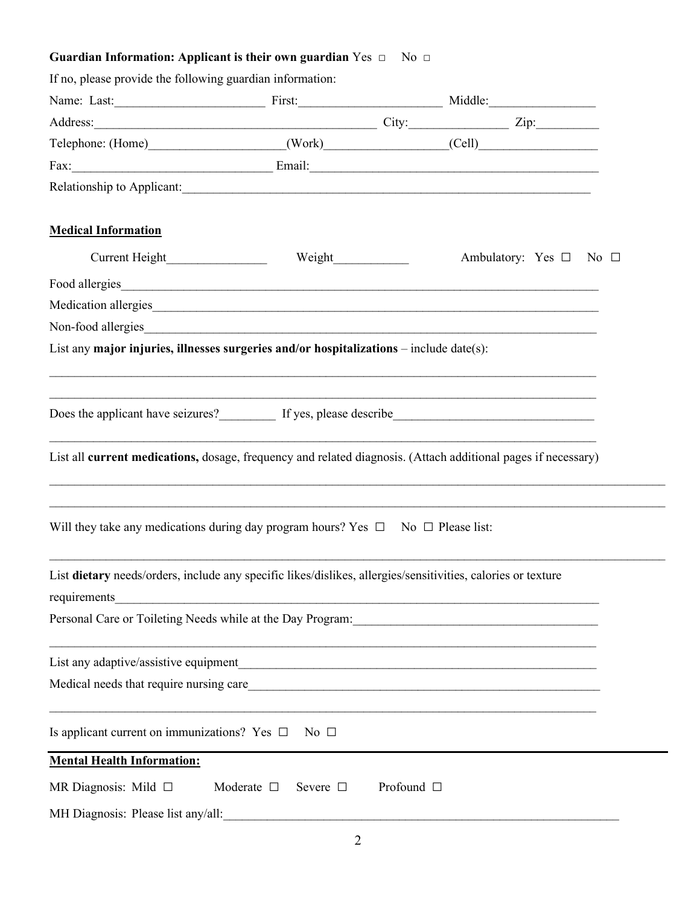## **Guardian Information: Applicant is their own guardian** Yes □ No □

| If no, please provide the following guardian information:                                                                    |                                                                                                                      |                 |                                                                                                                          |  |
|------------------------------------------------------------------------------------------------------------------------------|----------------------------------------------------------------------------------------------------------------------|-----------------|--------------------------------------------------------------------------------------------------------------------------|--|
|                                                                                                                              |                                                                                                                      |                 |                                                                                                                          |  |
| Address: <u>Zip:</u> Zip:                                                                                                    |                                                                                                                      |                 |                                                                                                                          |  |
| Telephone: (Home) (Work) (Cell)                                                                                              |                                                                                                                      |                 |                                                                                                                          |  |
|                                                                                                                              |                                                                                                                      |                 |                                                                                                                          |  |
| Relationship to Applicant:                                                                                                   |                                                                                                                      |                 |                                                                                                                          |  |
| <b>Medical Information</b>                                                                                                   |                                                                                                                      |                 |                                                                                                                          |  |
| Current Height                                                                                                               | Weight                                                                                                               |                 | Ambulatory: Yes □ No □                                                                                                   |  |
| Food allergies                                                                                                               |                                                                                                                      |                 |                                                                                                                          |  |
| Medication allergies                                                                                                         |                                                                                                                      |                 |                                                                                                                          |  |
| Non-food allergies                                                                                                           |                                                                                                                      |                 |                                                                                                                          |  |
| List any major injuries, illnesses surgeries and/or hospitalizations $-$ include date(s):                                    |                                                                                                                      |                 |                                                                                                                          |  |
|                                                                                                                              |                                                                                                                      |                 | ,我们也不能在这里的人,我们也不能在这里的人,我们也不能在这里的人,我们也不能在这里的人,我们也不能在这里的人,我们也不能在这里的人,我们也不能在这里的人,我们也                                        |  |
| Does the applicant have seizures? If yes, please describe Change and the applicant have seizures?                            |                                                                                                                      |                 |                                                                                                                          |  |
| List all current medications, dosage, frequency and related diagnosis. (Attach additional pages if necessary)                |                                                                                                                      |                 |                                                                                                                          |  |
| Will they take any medications during day program hours? Yes $\Box$ No $\Box$ Please list:                                   |                                                                                                                      |                 |                                                                                                                          |  |
| List dietary needs/orders, include any specific likes/dislikes, allergies/sensitivities, calories or texture<br>requirements | <u> 1980 - Jan Barat, margaret amerikan basar dan berasal dari perangan berasal dan berasal dari perangan berasa</u> |                 |                                                                                                                          |  |
|                                                                                                                              |                                                                                                                      |                 |                                                                                                                          |  |
| List any adaptive/assistive equipment                                                                                        |                                                                                                                      |                 |                                                                                                                          |  |
| Medical needs that require nursing care                                                                                      |                                                                                                                      |                 | <u> 1980 - Johann John Stein, markin fan it fjort fan it fjort fan it fjort fan it fjort fan it fjort fan it fjort f</u> |  |
| Is applicant current on immunizations? Yes $\Box$                                                                            | No $\Box$                                                                                                            |                 |                                                                                                                          |  |
| <b>Mental Health Information:</b>                                                                                            |                                                                                                                      |                 |                                                                                                                          |  |
| MR Diagnosis: Mild $\square$                                                                                                 | Moderate $\square$<br>Severe □                                                                                       | Profound $\Box$ |                                                                                                                          |  |
| MH Diagnosis: Please list any/all:                                                                                           |                                                                                                                      |                 |                                                                                                                          |  |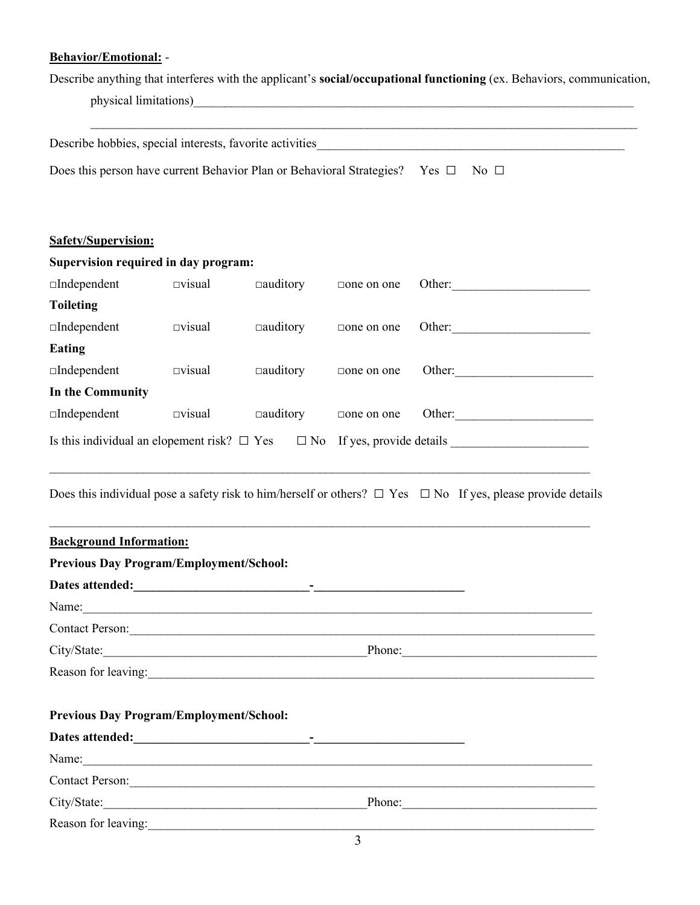## **Behavior/Emotional:** -

Describe anything that interferes with the applicant's **social/occupational functioning** (ex. Behaviors, communication, physical limitations)

| Describe hobbies, special interests, favorite activities                                      |                  |                 | <u> 2001 - Jan Samuel Barbara, martin da shekara 1992 - Andrea Samuel Barbara (</u> |        |        |
|-----------------------------------------------------------------------------------------------|------------------|-----------------|-------------------------------------------------------------------------------------|--------|--------|
| Does this person have current Behavior Plan or Behavioral Strategies? Yes $\Box$<br>No $\Box$ |                  |                 |                                                                                     |        |        |
|                                                                                               |                  |                 |                                                                                     |        |        |
|                                                                                               |                  |                 |                                                                                     |        |        |
| <b>Safety/Supervision:</b>                                                                    |                  |                 |                                                                                     |        |        |
| Supervision required in day program:                                                          |                  |                 |                                                                                     |        |        |
| $\Box$ Independent                                                                            | $\square$ visual | $\Box$ auditory | $\Box$ one on one                                                                   | Other: |        |
| <b>Toileting</b>                                                                              |                  |                 |                                                                                     |        |        |
| $\Box$ Independent                                                                            | $\square$ visual | $\Box$ auditory | $\Box$ one on one                                                                   |        | Other: |
| <b>Eating</b>                                                                                 |                  |                 |                                                                                     |        |        |
| $\Box$ Independent                                                                            | $\square$ visual | $\Box$ auditory | $\Box$ one on one                                                                   |        | Other: |
| In the Community                                                                              |                  |                 |                                                                                     |        |        |
| $\Box$ Independent                                                                            | $\square$ visual | $\Box$ auditory | $\Box$ one on one                                                                   |        | Other: |
| Is this individual an elopement risk? $\Box$ Yes $\Box$ No If yes, provide details            |                  |                 |                                                                                     |        |        |

Does this individual pose a safety risk to him/herself or others?  $\Box$  Yes  $\Box$  No If yes, please provide details

 $\mathcal{L}_\text{max}$  and  $\mathcal{L}_\text{max}$  and  $\mathcal{L}_\text{max}$  and  $\mathcal{L}_\text{max}$  and  $\mathcal{L}_\text{max}$  and  $\mathcal{L}_\text{max}$ 

 $\mathcal{L}_\mathcal{L} = \{ \mathcal{L}_\mathcal{L} = \{ \mathcal{L}_\mathcal{L} = \{ \mathcal{L}_\mathcal{L} = \{ \mathcal{L}_\mathcal{L} = \{ \mathcal{L}_\mathcal{L} = \{ \mathcal{L}_\mathcal{L} = \{ \mathcal{L}_\mathcal{L} = \{ \mathcal{L}_\mathcal{L} = \{ \mathcal{L}_\mathcal{L} = \{ \mathcal{L}_\mathcal{L} = \{ \mathcal{L}_\mathcal{L} = \{ \mathcal{L}_\mathcal{L} = \{ \mathcal{L}_\mathcal{L} = \{ \mathcal{L}_\mathcal{$ 

| <b>Background Information:</b>                                                                                                                                                                                                |  |
|-------------------------------------------------------------------------------------------------------------------------------------------------------------------------------------------------------------------------------|--|
| <b>Previous Day Program/Employment/School:</b>                                                                                                                                                                                |  |
|                                                                                                                                                                                                                               |  |
| Name:                                                                                                                                                                                                                         |  |
| Contact Person:                                                                                                                                                                                                               |  |
| City/State: Phone: Phone: Phone: Phone: Phone: Phone: Phone: Phone: Phone: Phone: Phone: Phone: Phone: Phone: Phone: Phone: Phone: Phone: Phone: Phone: Phone: Phone: Phone: Phone: Phone: Phone: Phone: Phone: Phone: Phone: |  |
| Reason for leaving:                                                                                                                                                                                                           |  |
|                                                                                                                                                                                                                               |  |
| <b>Previous Day Program/Employment/School:</b>                                                                                                                                                                                |  |
|                                                                                                                                                                                                                               |  |
| Name: Name: Name: Name: Name: Name: Name: Name: Name: Name: Name: Name: Name: Name: Name: Name: Name: Name: Name: Name: Name: Name: Name: Name: Name: Name: Name: Name: Name: Name: Name: Name: Name: Name: Name: Name: Name: |  |
| Contact Person:                                                                                                                                                                                                               |  |
| City/State: Phone: Phone: Phone: Phone: Phone: Phone: Phone: Phone: Phone: Phone: Phone: Phone: Phone: Phone: Phone: Phone: Phone: Phone: Phone: Phone: Phone: Phone: Phone: Phone: Phone: Phone: Phone: Phone: Phone: Phone: |  |
| Reason for leaving:                                                                                                                                                                                                           |  |